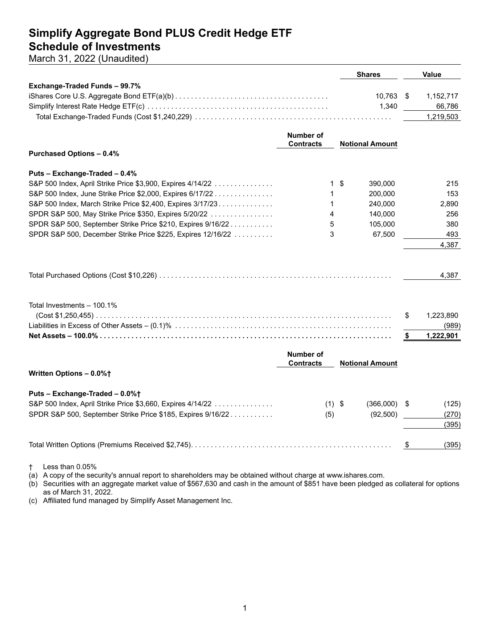## **Simplify Aggregate Bond PLUS Credit Hedge ETF Schedule of Investments**

March 31, 2022 (Unaudited)

| Exchange-Traded Funds - 99.7%<br>10.763<br>1,152,717<br>\$<br>1,340<br>1,219,503<br>Number of<br><b>Contracts</b><br><b>Notional Amount</b><br><b>Purchased Options - 0.4%</b><br>Puts - Exchange-Traded - 0.4%<br>S&P 500 Index, April Strike Price \$3,900, Expires 4/14/22<br>1\$<br>390,000<br>S&P 500 Index, June Strike Price \$2,000, Expires 6/17/22<br>200,000<br>1<br>S&P 500 Index, March Strike Price \$2,400, Expires 3/17/23<br>240,000<br>1<br>SPDR S&P 500, May Strike Price \$350, Expires 5/20/22<br>4<br>140,000<br>SPDR S&P 500, September Strike Price \$210, Expires 9/16/22<br>5<br>105,000<br>3<br>67,500<br>SPDR S&P 500, December Strike Price \$225, Expires 12/16/22 |        |
|--------------------------------------------------------------------------------------------------------------------------------------------------------------------------------------------------------------------------------------------------------------------------------------------------------------------------------------------------------------------------------------------------------------------------------------------------------------------------------------------------------------------------------------------------------------------------------------------------------------------------------------------------------------------------------------------------|--------|
|                                                                                                                                                                                                                                                                                                                                                                                                                                                                                                                                                                                                                                                                                                  |        |
|                                                                                                                                                                                                                                                                                                                                                                                                                                                                                                                                                                                                                                                                                                  |        |
|                                                                                                                                                                                                                                                                                                                                                                                                                                                                                                                                                                                                                                                                                                  | 66,786 |
|                                                                                                                                                                                                                                                                                                                                                                                                                                                                                                                                                                                                                                                                                                  |        |
|                                                                                                                                                                                                                                                                                                                                                                                                                                                                                                                                                                                                                                                                                                  |        |
|                                                                                                                                                                                                                                                                                                                                                                                                                                                                                                                                                                                                                                                                                                  |        |
|                                                                                                                                                                                                                                                                                                                                                                                                                                                                                                                                                                                                                                                                                                  |        |
|                                                                                                                                                                                                                                                                                                                                                                                                                                                                                                                                                                                                                                                                                                  |        |
|                                                                                                                                                                                                                                                                                                                                                                                                                                                                                                                                                                                                                                                                                                  |        |
|                                                                                                                                                                                                                                                                                                                                                                                                                                                                                                                                                                                                                                                                                                  | 215    |
|                                                                                                                                                                                                                                                                                                                                                                                                                                                                                                                                                                                                                                                                                                  | 153    |
|                                                                                                                                                                                                                                                                                                                                                                                                                                                                                                                                                                                                                                                                                                  | 2,890  |
|                                                                                                                                                                                                                                                                                                                                                                                                                                                                                                                                                                                                                                                                                                  | 256    |
|                                                                                                                                                                                                                                                                                                                                                                                                                                                                                                                                                                                                                                                                                                  | 380    |
|                                                                                                                                                                                                                                                                                                                                                                                                                                                                                                                                                                                                                                                                                                  | 493    |
|                                                                                                                                                                                                                                                                                                                                                                                                                                                                                                                                                                                                                                                                                                  | 4,387  |
|                                                                                                                                                                                                                                                                                                                                                                                                                                                                                                                                                                                                                                                                                                  |        |
|                                                                                                                                                                                                                                                                                                                                                                                                                                                                                                                                                                                                                                                                                                  | 4,387  |
| Total Investments - 100.1%                                                                                                                                                                                                                                                                                                                                                                                                                                                                                                                                                                                                                                                                       |        |
| \$<br>1,223,890                                                                                                                                                                                                                                                                                                                                                                                                                                                                                                                                                                                                                                                                                  |        |
|                                                                                                                                                                                                                                                                                                                                                                                                                                                                                                                                                                                                                                                                                                  | (989)  |
| 1,222,901<br>\$                                                                                                                                                                                                                                                                                                                                                                                                                                                                                                                                                                                                                                                                                  |        |
| <b>Number of</b>                                                                                                                                                                                                                                                                                                                                                                                                                                                                                                                                                                                                                                                                                 |        |
| <b>Contracts</b><br><b>Notional Amount</b>                                                                                                                                                                                                                                                                                                                                                                                                                                                                                                                                                                                                                                                       |        |
| Written Options - 0.0%+                                                                                                                                                                                                                                                                                                                                                                                                                                                                                                                                                                                                                                                                          |        |
| Puts - Exchange-Traded - 0.0%+                                                                                                                                                                                                                                                                                                                                                                                                                                                                                                                                                                                                                                                                   |        |
| S&P 500 Index, April Strike Price \$3,660, Expires 4/14/22<br>$(366,000)$ \$<br>$(1)$ \$                                                                                                                                                                                                                                                                                                                                                                                                                                                                                                                                                                                                         | (125)  |
| SPDR S&P 500, September Strike Price \$185, Expires 9/16/22<br>(92, 500)                                                                                                                                                                                                                                                                                                                                                                                                                                                                                                                                                                                                                         | (270)  |
| (5)                                                                                                                                                                                                                                                                                                                                                                                                                                                                                                                                                                                                                                                                                              | (395)  |
|                                                                                                                                                                                                                                                                                                                                                                                                                                                                                                                                                                                                                                                                                                  |        |
| \$                                                                                                                                                                                                                                                                                                                                                                                                                                                                                                                                                                                                                                                                                               | (395)  |

† Less than 0.05%

(a) A copy of the security's annual report to shareholders may be obtained without charge at www.ishares.com.

(b) Securities with an aggregate market value of \$567,630 and cash in the amount of \$851 have been pledged as collateral for options as of March 31, 2022.

(c) Affiliated fund managed by Simplify Asset Management Inc.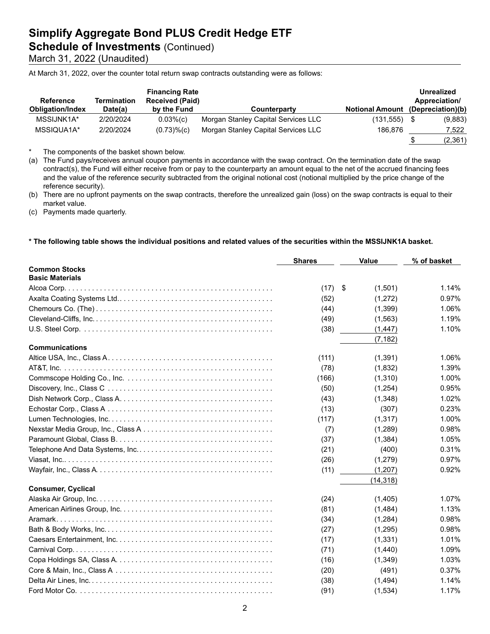## **Schedule of Investments (Continued)**

March 31, 2022 (Unaudited)

At March 31, 2022, over the counter total return swap contracts outstanding were as follows:

| <b>Reference</b><br><b>Obligation/Index</b> | Termination<br>Date(a) | <b>Financing Rate</b><br><b>Received (Paid)</b><br>by the Fund | Counterparty                        | <b>Notional Amount</b> | <b>Unrealized</b><br>Appreciation/<br>(Depreciation)(b) |
|---------------------------------------------|------------------------|----------------------------------------------------------------|-------------------------------------|------------------------|---------------------------------------------------------|
| MSSIJNK1A*                                  | 2/20/2024              | $0.03\%$ (c)                                                   | Morgan Stanley Capital Services LLC | (131,555)              | (9,883)                                                 |
| MSSIQUA1A*                                  | 2/20/2024              | $(0.73)$ % $(c)$                                               | Morgan Stanley Capital Services LLC | 186.876                | 7,522                                                   |
|                                             |                        |                                                                |                                     |                        | (2,361)                                                 |

\* The components of the basket shown below.

(a) The Fund pays/receives annual coupon payments in accordance with the swap contract. On the termination date of the swap contract(s), the Fund will either receive from or pay to the counterparty an amount equal to the net of the accrued financing fees and the value of the reference security subtracted from the original notional cost (notional multiplied by the price change of the reference security).

(b) There are no upfront payments on the swap contracts, therefore the unrealized gain (loss) on the swap contracts is equal to their market value.

(c) Payments made quarterly.

#### **\* The following table shows the individual positions and related values of the securities within the MSSIJNK1A basket.**

|                           | <b>Shares</b> | <b>Value</b>  | % of basket |
|---------------------------|---------------|---------------|-------------|
| <b>Common Stocks</b>      |               |               |             |
| <b>Basic Materials</b>    |               |               |             |
|                           | (17)          | \$<br>(1,501) | 1.14%       |
|                           | (52)          | (1,272)       | 0.97%       |
|                           | (44)          | (1, 399)      | 1.06%       |
|                           | (49)          | (1, 563)      | 1.19%       |
|                           | (38)          | (1, 447)      | 1.10%       |
|                           |               | (7, 182)      |             |
| <b>Communications</b>     |               |               |             |
|                           | (111)         | (1, 391)      | 1.06%       |
|                           | (78)          | (1,832)       | 1.39%       |
|                           | (166)         | (1,310)       | 1.00%       |
|                           | (50)          | (1,254)       | 0.95%       |
|                           | (43)          | (1,348)       | 1.02%       |
|                           | (13)          | (307)         | 0.23%       |
|                           | (117)         | (1, 317)      | 1.00%       |
|                           | (7)           | (1,289)       | 0.98%       |
|                           | (37)          | (1, 384)      | 1.05%       |
|                           | (21)          | (400)         | 0.31%       |
|                           | (26)          | (1,279)       | 0.97%       |
|                           | (11)          | (1,207)       | 0.92%       |
|                           |               | (14, 318)     |             |
| <b>Consumer, Cyclical</b> |               |               |             |
|                           | (24)          | (1,405)       | 1.07%       |
|                           | (81)          | (1,484)       | 1.13%       |
|                           | (34)          | (1,284)       | 0.98%       |
|                           | (27)          | (1,295)       | 0.98%       |
|                           | (17)          | (1, 331)      | 1.01%       |
|                           | (71)          | (1,440)       | 1.09%       |
|                           | (16)          | (1,349)       | 1.03%       |
|                           | (20)          | (491)         | 0.37%       |
|                           | (38)          | (1,494)       | 1.14%       |
|                           | (91)          | (1,534)       | 1.17%       |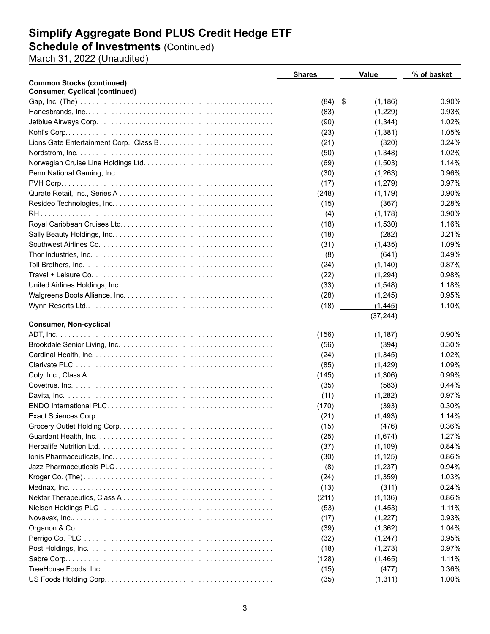### **Schedule of Investments** (Continued)

March 31, 2022 (Unaudited)

|                                       | <b>Shares</b> | <b>Value</b>    | % of basket |
|---------------------------------------|---------------|-----------------|-------------|
| <b>Common Stocks (continued)</b>      |               |                 |             |
| <b>Consumer, Cyclical (continued)</b> |               |                 |             |
|                                       | (84)          | -\$<br>(1, 186) | 0.90%       |
|                                       | (83)          | (1,229)         | 0.93%       |
|                                       | (90)          | (1, 344)        | 1.02%       |
|                                       | (23)          | (1,381)         | 1.05%       |
|                                       | (21)          | (320)           | 0.24%       |
|                                       | (50)          | (1,348)         | 1.02%       |
|                                       | (69)          | (1,503)         | 1.14%       |
|                                       | (30)          | (1,263)         | 0.96%       |
|                                       | (17)          | (1,279)         | 0.97%       |
|                                       | (248)         | (1, 179)        | 0.90%       |
|                                       | (15)          | (367)           | 0.28%       |
|                                       | (4)           | (1, 178)        | 0.90%       |
|                                       | (18)          | (1,530)         | 1.16%       |
|                                       | (18)          | (282)           | 0.21%       |
|                                       | (31)          | (1, 435)        | 1.09%       |
|                                       | (8)           | (641)           | 0.49%       |
|                                       | (24)          | (1, 140)        | 0.87%       |
|                                       | (22)          | (1,294)         | 0.98%       |
|                                       |               |                 |             |
|                                       | (33)          | (1,548)         | 1.18%       |
|                                       | (28)          | (1,245)         | 0.95%       |
|                                       | (18)          | (1, 445)        | 1.10%       |
| <b>Consumer, Non-cyclical</b>         |               | (37, 244)       |             |
|                                       |               |                 | 0.90%       |
|                                       | (156)         | (1, 187)        | 0.30%       |
|                                       | (56)          | (394)           |             |
|                                       | (24)          | (1,345)         | 1.02%       |
|                                       | (85)          | (1, 429)        | 1.09%       |
|                                       | (145)         | (1,306)         | 0.99%       |
|                                       | (35)          | (583)           | 0.44%       |
|                                       | (11)          | (1,282)         | 0.97%       |
|                                       | (170)         | (393)           | 0.30%       |
|                                       | (21)          | (1, 493)        | 1.14%       |
|                                       | (15)          | (476)           | 0.36%       |
|                                       | (25)          | (1,674)         | 1.27%       |
|                                       | (37)          | (1, 109)        | 0.84%       |
|                                       | (30)          | (1, 125)        | 0.86%       |
|                                       | (8)           | (1,237)         | 0.94%       |
|                                       | (24)          | (1,359)         | 1.03%       |
|                                       | (13)          | (311)           | 0.24%       |
|                                       | (211)         | (1, 136)        | 0.86%       |
|                                       | (53)          | (1, 453)        | 1.11%       |
|                                       | (17)          | (1,227)         | 0.93%       |
|                                       | (39)          | (1, 362)        | 1.04%       |
|                                       | (32)          | (1,247)         | 0.95%       |
|                                       | (18)          | (1, 273)        | 0.97%       |
|                                       | (128)         | (1, 465)        | 1.11%       |
|                                       | (15)          | (477)           | 0.36%       |
|                                       | (35)          | (1, 311)        | 1.00%       |
|                                       |               |                 |             |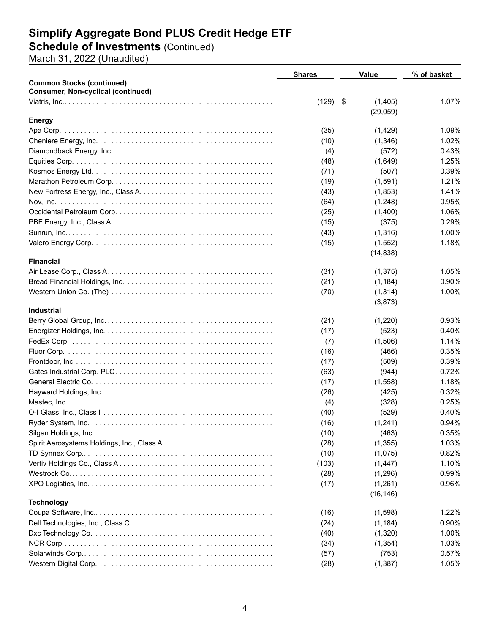#### **Schedule of Investments** (Continued)

March 31, 2022 (Unaudited)

|                                           | <b>Shares</b> | <b>Value</b> | % of basket |
|-------------------------------------------|---------------|--------------|-------------|
| <b>Common Stocks (continued)</b>          |               |              |             |
| <b>Consumer, Non-cyclical (continued)</b> |               |              |             |
|                                           | $(129)$ \$    | (1,405)      | 1.07%       |
|                                           |               | (29, 059)    |             |
| <b>Energy</b>                             |               |              |             |
|                                           | (35)          | (1,429)      | 1.09%       |
|                                           | (10)          | (1,346)      | 1.02%       |
|                                           | (4)           | (572)        | 0.43%       |
|                                           | (48)          | (1,649)      | 1.25%       |
|                                           | (71)          | (507)        | 0.39%       |
|                                           | (19)          | (1,591)      | 1.21%       |
|                                           | (43)          | (1,853)      | 1.41%       |
|                                           | (64)          | (1,248)      | 0.95%       |
|                                           | (25)          | (1,400)      | 1.06%       |
|                                           | (15)          | (375)        | 0.29%       |
|                                           | (43)          | (1,316)      | 1.00%       |
|                                           | (15)          | (1,552)      | 1.18%       |
|                                           |               | (14, 838)    |             |
| <b>Financial</b>                          |               |              |             |
|                                           | (31)          | (1, 375)     | 1.05%       |
|                                           | (21)          | (1, 184)     | 0.90%       |
|                                           | (70)          | (1, 314)     | 1.00%       |
|                                           |               | (3,873)      |             |
| <b>Industrial</b>                         |               |              |             |
|                                           | (21)          | (1,220)      | 0.93%       |
|                                           | (17)          | (523)        | 0.40%       |
|                                           | (7)           | (1,506)      | 1.14%       |
|                                           | (16)          | (466)        | 0.35%       |
|                                           | (17)          | (509)        | 0.39%       |
|                                           | (63)          | (944)        | 0.72%       |
|                                           | (17)          | (1,558)      | 1.18%       |
|                                           | (26)          | (425)        | 0.32%       |
|                                           | (4)           | (328)        | 0.25%       |
|                                           | (40)          | (529)        | 0.40%       |
|                                           | (16)          | (1,241)      | 0.94%       |
|                                           | (10)          | (463)        | 0.35%       |
|                                           | (28)          | (1, 355)     | 1.03%       |
|                                           |               |              | 0.82%       |
|                                           | (10)          | (1,075)      |             |
|                                           | (103)         | (1, 447)     | 1.10%       |
|                                           | (28)          | (1,296)      | 0.99%       |
|                                           | (17)          | (1,261)      | 0.96%       |
|                                           |               | (16, 146)    |             |
| <b>Technology</b>                         |               |              |             |
|                                           | (16)          | (1,598)      | 1.22%       |
|                                           | (24)          | (1, 184)     | 0.90%       |
|                                           | (40)          | (1,320)      | 1.00%       |
|                                           | (34)          | (1, 354)     | 1.03%       |
|                                           | (57)          | (753)        | 0.57%       |
|                                           | (28)          | (1, 387)     | 1.05%       |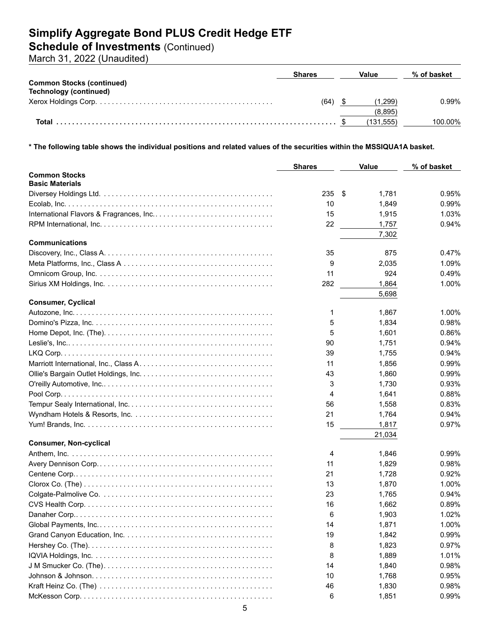### **Schedule of Investments** (Continued)

March 31, 2022 (Unaudited)

|                                  | <b>Shares</b> | Value     | % of basket |
|----------------------------------|---------------|-----------|-------------|
| <b>Common Stocks (continued)</b> |               |           |             |
| Technology (continued)           |               |           |             |
|                                  | (64)          | (1.299)   | 0.99%       |
|                                  |               | (8.895)   |             |
|                                  |               | (131.555) | 100.00%     |

**\* The following table shows the individual positions and related values of the securities within the MSSIQUA1A basket.**

|                               | <b>Shares</b> | <b>Value</b> | % of basket    |
|-------------------------------|---------------|--------------|----------------|
| <b>Common Stocks</b>          |               |              |                |
| <b>Basic Materials</b>        |               |              |                |
|                               | 235           | \$<br>1,781  | 0.95%          |
|                               | 10            | 1,849        | 0.99%          |
|                               | 15            | 1,915        | 1.03%          |
|                               | 22            | 1,757        | 0.94%          |
|                               |               | 7,302        |                |
| <b>Communications</b>         |               |              |                |
|                               | 35            | 875          | 0.47%          |
|                               | 9             | 2,035        | 1.09%          |
|                               | 11            | 924          | 0.49%          |
|                               | 282           | 1,864        | 1.00%          |
| <b>Consumer, Cyclical</b>     |               | 5,698        |                |
|                               | 1             | 1,867        | 1.00%          |
|                               | 5             | 1,834        | 0.98%          |
|                               | 5             | 1,601        | 0.86%          |
|                               |               |              |                |
|                               | 90            | 1,751        | 0.94%          |
|                               | 39            | 1,755        | 0.94%<br>0.99% |
|                               | 11            | 1,856        | 0.99%          |
|                               | 43            | 1,860        | 0.93%          |
|                               | 3             | 1,730        |                |
|                               | 4             | 1,641        | 0.88%          |
|                               | 56            | 1,558        | 0.83%          |
|                               | 21            | 1,764        | 0.94%          |
|                               | 15            | 1,817        | 0.97%          |
| <b>Consumer, Non-cyclical</b> |               | 21,034       |                |
|                               | 4             | 1,846        | 0.99%          |
|                               | 11            | 1,829        | 0.98%          |
|                               | 21            | 1,728        | 0.92%          |
|                               | 13            | 1,870        | 1.00%          |
|                               | 23            | 1,765        | 0.94%          |
|                               | 16            | 1,662        | 0.89%          |
|                               | 6             | 1,903        | 1.02%          |
|                               | 14            | 1,871        | 1.00%          |
|                               | 19            | 1,842        | 0.99%          |
|                               | 8             | 1,823        | 0.97%          |
|                               | 8             | 1,889        | 1.01%          |
|                               | 14            | 1,840        | 0.98%          |
|                               | 10            | 1,768        | 0.95%          |
|                               | 46            | 1,830        | 0.98%          |
|                               | 6             | 1,851        | 0.99%          |
|                               |               |              |                |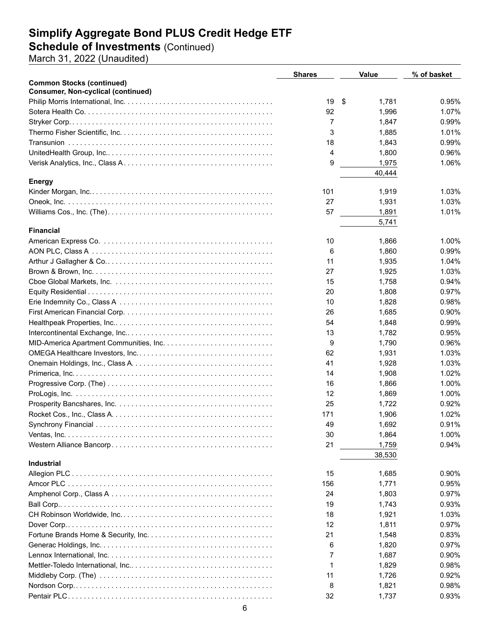#### **Schedule of Investments** (Continued)

March 31, 2022 (Unaudited)

|                                           | <b>Shares</b> | <b>Value</b> | % of basket |
|-------------------------------------------|---------------|--------------|-------------|
| <b>Common Stocks (continued)</b>          |               |              |             |
| <b>Consumer, Non-cyclical (continued)</b> |               |              |             |
|                                           | 19            | \$<br>1,781  | 0.95%       |
|                                           | 92            | 1,996        | 1.07%       |
|                                           | 7             | 1,847        | 0.99%       |
|                                           | 3             | 1,885        | 1.01%       |
|                                           | 18            | 1,843        | 0.99%       |
|                                           | 4             | 1,800        | 0.96%       |
|                                           | 9             | 1,975        | 1.06%       |
|                                           |               | 40,444       |             |
| <b>Energy</b>                             |               |              |             |
|                                           | 101           | 1,919        | 1.03%       |
|                                           | 27            | 1,931        | 1.03%       |
|                                           | 57            | 1,891        | 1.01%       |
|                                           |               | 5,741        |             |
| <b>Financial</b>                          |               |              |             |
|                                           | 10            | 1,866        | 1.00%       |
|                                           | 6             | 1,860        | 0.99%       |
|                                           | 11            | 1,935        | 1.04%       |
|                                           | 27            | 1,925        | 1.03%       |
|                                           | 15            | 1,758        | 0.94%       |
|                                           | 20            | 1,808        | 0.97%       |
|                                           | 10            | 1,828        | 0.98%       |
|                                           | 26            | 1,685        | 0.90%       |
|                                           | 54            | 1,848        | 0.99%       |
|                                           | 13            | 1,782        | 0.95%       |
|                                           | 9             | 1,790        | 0.96%       |
|                                           | 62            | 1,931        | 1.03%       |
|                                           | 41            | 1,928        | 1.03%       |
|                                           | 14            | 1,908        | 1.02%       |
|                                           | 16            | 1,866        | 1.00%       |
|                                           | 12            | 1,869        | 1.00%       |
|                                           | 25            | 1,722        | 0.92%       |
|                                           | 171           | 1,906        | 1.02%       |
|                                           | 49            | 1,692        | 0.91%       |
|                                           |               |              |             |
|                                           | 30            | 1,864        | 1.00%       |
|                                           | 21            | 1,759        | 0.94%       |
| <b>Industrial</b>                         |               | 38,530       |             |
|                                           | 15            | 1,685        | 0.90%       |
|                                           | 156           | 1,771        | 0.95%       |
|                                           |               |              |             |
|                                           | 24            | 1,803        | 0.97%       |
|                                           | 19            | 1,743        | 0.93%       |
|                                           | 18            | 1,921        | 1.03%       |
|                                           | 12            | 1,811        | 0.97%       |
|                                           | 21            | 1,548        | 0.83%       |
|                                           | 6             | 1,820        | 0.97%       |
|                                           | 7             | 1,687        | 0.90%       |
|                                           | 1             | 1,829        | 0.98%       |
|                                           | 11            | 1,726        | 0.92%       |
|                                           | 8             | 1,821        | 0.98%       |
|                                           | 32            | 1,737        | 0.93%       |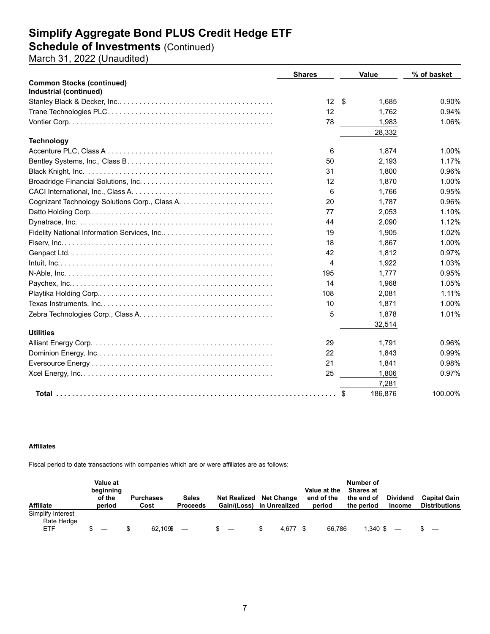### **Schedule of Investments** (Continued)

March 31, 2022 (Unaudited)

|                                  | <b>Shares</b> | Value         | % of basket |
|----------------------------------|---------------|---------------|-------------|
| <b>Common Stocks (continued)</b> |               |               |             |
| Industrial (continued)           |               |               |             |
|                                  | 12S           | 1.685         | 0.90%       |
|                                  | 12            | 1,762         | 0.94%       |
|                                  | 78            | 1,983         | 1.06%       |
|                                  |               | 28,332        |             |
| <b>Technology</b>                |               |               |             |
|                                  | 6             | 1,874         | 1.00%       |
|                                  | 50            | 2,193         | 1.17%       |
|                                  | 31            | 1,800         | 0.96%       |
|                                  | 12            | 1,870         | 1.00%       |
|                                  | 6             | 1,766         | 0.95%       |
|                                  | 20            | 1,787         | 0.96%       |
|                                  | 77            | 2,053         | 1.10%       |
|                                  | 44            | 2,090         | 1.12%       |
|                                  | 19            | 1.905         | 1.02%       |
|                                  | 18            | 1.867         | 1.00%       |
|                                  | 42            | 1,812         | 0.97%       |
|                                  | 4             | 1,922         | 1.03%       |
|                                  | 195           | 1.777         | 0.95%       |
|                                  | 14            | 1,968         | 1.05%       |
|                                  | 108           | 2,081         | 1.11%       |
|                                  | 10            | 1,871         | 1.00%       |
|                                  | 5             | 1,878         | 1.01%       |
|                                  |               | 32,514        |             |
| <b>Utilities</b>                 |               |               |             |
|                                  | 29            | 1.791         | 0.96%       |
|                                  | 22            | 1.843         | 0.99%       |
|                                  | 21            | 1,841         | 0.98%       |
|                                  | 25            | 1,806         | 0.97%       |
|                                  |               | 7,281         |             |
|                                  |               | 186,876<br>\$ | 100.00%     |

#### **Affiliates**

Fiscal period to date transactions with companies which are or were affiliates are as follows:

| <b>Affiliate</b>                              | Value at<br>beginning<br>of the<br>period | <b>Purchases</b><br>Cost | <b>Sales</b><br><b>Proceeds</b> | <b>Net Realized</b><br>Gain/(Loss) | <b>Net Change</b><br>in Unrealized |       | Value at the<br>end of the<br>period | Number of<br><b>Shares at</b><br>the end of<br>the period | <b>Dividend</b><br><b>Income</b> | <b>Capital Gain</b><br><b>Distributions</b> |
|-----------------------------------------------|-------------------------------------------|--------------------------|---------------------------------|------------------------------------|------------------------------------|-------|--------------------------------------|-----------------------------------------------------------|----------------------------------|---------------------------------------------|
| Simplify Interest<br>Rate Hedge<br><b>ETF</b> |                                           | 62.1096                  |                                 | $\overline{\phantom{0}}$           | \$                                 | 4.677 | 66.786                               | 1,340 \$                                                  |                                  | $\overline{\phantom{0}}$                    |